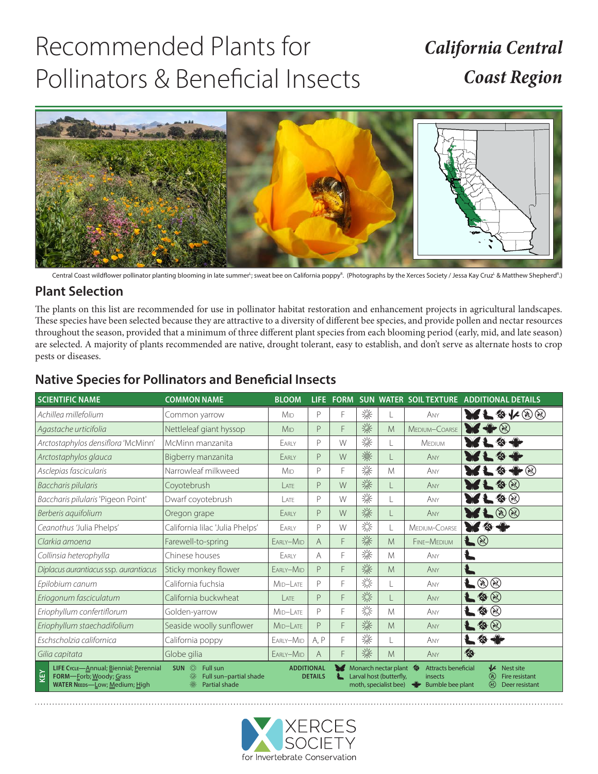# Recommended Plants for Pollinators & Beneficial Insects

## *California Central Coast Region*



Central Coast wildflower pollinator planting blooming in late summer<sup>L</sup>; sweat bee on California poppy<sup>R</sup>. (Photographs by the Xerces Society / Jessa Kay Cruz<sup>L</sup> & Matthew Shepherd<sup>R</sup>.)

### **Plant Selection**

The plants on this list are recommended for use in pollinator habitat restoration and enhancement projects in agricultural landscapes. These species have been selected because they are attractive to a diversity of different bee species, and provide pollen and nectar resources throughout the season, provided that a minimum of three different plant species from each blooming period (early, mid, and late season) are selected. A majority of plants recommended are native, drought tolerant, easy to establish, and don't serve as alternate hosts to crop pests or diseases.

| <b>SCIENTIFIC NAME</b>                                                                                                                                                                                                                                                                                                                                                                                                                                                                               | <b>COMMON NAME</b>              | <b>BLOOM</b>    | LIFE.          | <b>FORM</b> |   |   | SUN WATER SOIL TEXTURE | <b>ADDITIONAL DETAILS</b>                                                                                                                                                                                                                                                                                                                                                        |
|------------------------------------------------------------------------------------------------------------------------------------------------------------------------------------------------------------------------------------------------------------------------------------------------------------------------------------------------------------------------------------------------------------------------------------------------------------------------------------------------------|---------------------------------|-----------------|----------------|-------------|---|---|------------------------|----------------------------------------------------------------------------------------------------------------------------------------------------------------------------------------------------------------------------------------------------------------------------------------------------------------------------------------------------------------------------------|
| Achillea millefolium                                                                                                                                                                                                                                                                                                                                                                                                                                                                                 | Common yarrow                   | M <sub>ID</sub> | P              | F           | 涤 |   | ANY                    | <b>RF&amp;K00</b>                                                                                                                                                                                                                                                                                                                                                                |
| Agastache urticifolia                                                                                                                                                                                                                                                                                                                                                                                                                                                                                | Nettleleaf giant hyssop         | M <sub>ID</sub> | P              | F           | 涤 | M | MEDIUM-COARSE          | $\mathbb{Y} \ast \mathbb{R}$                                                                                                                                                                                                                                                                                                                                                     |
| Arctostaphylos densiflora 'McMinn'                                                                                                                                                                                                                                                                                                                                                                                                                                                                   | McMinn manzanita                | EARLY           | $\mathsf{P}$   | W           | 涤 |   | <b>MEDIUM</b>          |                                                                                                                                                                                                                                                                                                                                                                                  |
| Arctostaphylos glauca                                                                                                                                                                                                                                                                                                                                                                                                                                                                                | Bigberry manzanita              | EARLY           | P              | W           | 灤 |   | ANY                    |                                                                                                                                                                                                                                                                                                                                                                                  |
| Asclepias fascicularis                                                                                                                                                                                                                                                                                                                                                                                                                                                                               | Narrowleaf milkweed             | M <sub>ID</sub> | $\mathsf{P}$   | F           | 粢 | M | ANY                    | $\blacktriangleright\mathop{\otimes}$                                                                                                                                                                                                                                                                                                                                            |
| Baccharis pilularis                                                                                                                                                                                                                                                                                                                                                                                                                                                                                  | Coyotebrush                     | LATE            | P              | W           | 燊 |   | ANY                    | $\bullet$                                                                                                                                                                                                                                                                                                                                                                        |
| Baccharis pilularis 'Pigeon Point'                                                                                                                                                                                                                                                                                                                                                                                                                                                                   | Dwarf coyotebrush               | ATF             | $\mathsf{P}$   | W           | 燊 | L | ANY                    | $\bullet\circledcirc$                                                                                                                                                                                                                                                                                                                                                            |
| Berberis aquifolium                                                                                                                                                                                                                                                                                                                                                                                                                                                                                  | Oregon grape                    | EARLY           | P              | W           | 燊 |   | ANY                    | $L \otimes \otimes$                                                                                                                                                                                                                                                                                                                                                              |
| Ceanothus 'Julia Phelps'                                                                                                                                                                                                                                                                                                                                                                                                                                                                             | California lilac 'Julia Phelps' | EARLY           | $\mathsf{P}$   | W           | 淡 | L | MEDIUM-COARSE          | $\mathcal{M} \otimes \mathcal{N}$                                                                                                                                                                                                                                                                                                                                                |
| Clarkia amoena                                                                                                                                                                                                                                                                                                                                                                                                                                                                                       | Farewell-to-spring              | EARLY-MID       | $\overline{A}$ | F           | 粢 | M | FINE-MEDIUM            | L &                                                                                                                                                                                                                                                                                                                                                                              |
| Collinsia heterophylla                                                                                                                                                                                                                                                                                                                                                                                                                                                                               | Chinese houses                  | EARLY           | A              | F           | 涤 | M | ANY                    |                                                                                                                                                                                                                                                                                                                                                                                  |
| Diplacus aurantiacus ssp. aurantiacus                                                                                                                                                                                                                                                                                                                                                                                                                                                                | Sticky monkey flower            | EARLY-MID       | P              | F           | 涤 | M | ANY                    |                                                                                                                                                                                                                                                                                                                                                                                  |
| Epilobium canum                                                                                                                                                                                                                                                                                                                                                                                                                                                                                      | California fuchsia              | MID-LATE        | P              | F           | 淡 |   | ANY                    | L ® ®                                                                                                                                                                                                                                                                                                                                                                            |
| Eriogonum fasciculatum                                                                                                                                                                                                                                                                                                                                                                                                                                                                               | California buckwheat            | LATE            | $\mathsf{P}$   | F           | 崇 |   | ANY                    | $\bullet$                                                                                                                                                                                                                                                                                                                                                                        |
| Eriophyllum confertiflorum                                                                                                                                                                                                                                                                                                                                                                                                                                                                           | Golden-yarrow                   | MID-LATE        | P              | F           | 淡 | M | ANY                    | $\bullet$                                                                                                                                                                                                                                                                                                                                                                        |
| Eriophyllum staechadifolium                                                                                                                                                                                                                                                                                                                                                                                                                                                                          | Seaside woolly sunflower        | MID-LATE        | P              | F           | 涤 | M | ANY                    | $\bullet$                                                                                                                                                                                                                                                                                                                                                                        |
| Eschscholzia californica                                                                                                                                                                                                                                                                                                                                                                                                                                                                             | California poppy                | EARLY-MID       | A, P           | F           | 燊 |   | ANY                    | Ł<br>$\begin{picture}(20,20) \put(0,0){\vector(0,1){30}} \put(15,0){\vector(0,1){30}} \put(15,0){\vector(0,1){30}} \put(15,0){\vector(0,1){30}} \put(15,0){\vector(0,1){30}} \put(15,0){\vector(0,1){30}} \put(15,0){\vector(0,1){30}} \put(15,0){\vector(0,1){30}} \put(15,0){\vector(0,1){30}} \put(15,0){\vector(0,1){30}} \put(15,0){\vector(0,1){30}} \put(15,0){\vector(0$ |
| Gilia capitata                                                                                                                                                                                                                                                                                                                                                                                                                                                                                       | Globe gilia                     | EARLY-MID       | A              | F           | 涤 | M | ANY                    | ◈                                                                                                                                                                                                                                                                                                                                                                                |
| 券<br><b>ADDITIONAL</b><br>₩<br>LIFE CycLE-Annual; Biennial; Perennial<br><b>SUN</b><br>Full sun<br>Monarch nectar plant <a><br/><b>Attracts beneficial</b><br/>Nest site<br/>KEY<br/>漛<br/>⊛<br/>FORM-Eorb; Woody; Grass<br/><b>DETAILS</b><br/>Larval host (butterfly,<br/>Full sun-partial shade<br/>Fire resistant<br/>insects<br/><math>\circledR</math><br/><b>WATER NEEDS-LOW; Medium; High</b><br/>Partial shade<br/><b>Bumble bee plant</b><br/>moth, specialist bee)<br/>Deer resistant</a> |                                 |                 |                |             |   |   |                        |                                                                                                                                                                                                                                                                                                                                                                                  |

## **Native Species for Pollinators and Beneficial Insects**